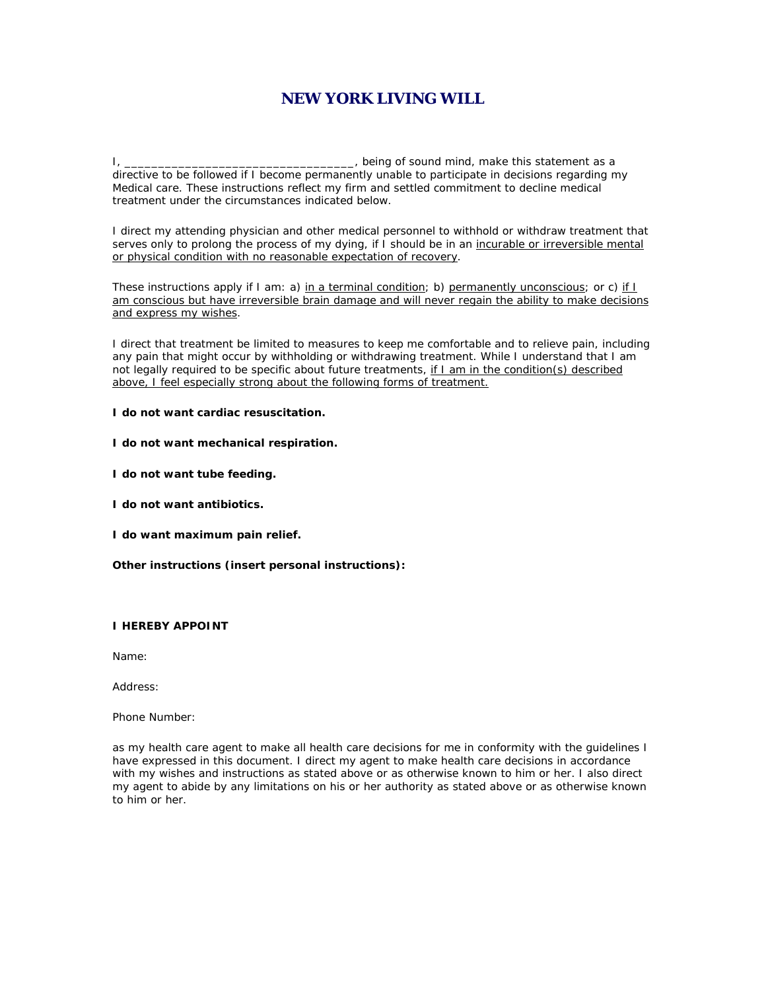## **NEW YORK LIVING WILL**

I, \_\_\_\_\_\_\_\_\_\_\_\_\_\_\_\_\_\_\_\_\_\_\_\_\_\_\_\_\_\_\_\_\_\_, being of sound mind, make this statement as a directive to be followed if I become permanently unable to participate in decisions regarding my Medical care. These instructions reflect my firm and settled commitment to decline medical treatment under the circumstances indicated below.

I direct my attending physician and other medical personnel to withhold or withdraw treatment that serves only to prolong the process of my dying, if I should be in an incurable or irreversible mental or physical condition with no reasonable expectation of recovery.

These instructions apply if I am: a) in a terminal condition; b) permanently unconscious; or c) if I am conscious but have irreversible brain damage and will never regain the ability to make decisions and express my wishes.

I direct that treatment be limited to measures to keep me comfortable and to relieve pain, including any pain that might occur by withholding or withdrawing treatment. While I understand that I am not legally required to be specific about future treatments, if I am in the condition(s) described above, I feel especially strong about the following forms of treatment.

**I do not want cardiac resuscitation.**

**I do not want mechanical respiration.**

**I do not want tube feeding.**

**I do not want antibiotics.**

**I do want maximum pain relief.**

**Other instructions (insert personal instructions):** 

## **I HEREBY APPOINT**

Name:

Address:

Phone Number:

as my health care agent to make all health care decisions for me in conformity with the guidelines I have expressed in this document. I direct my agent to make health care decisions in accordance with my wishes and instructions as stated above or as otherwise known to him or her. I also direct my agent to abide by any limitations on his or her authority as stated above or as otherwise known to him or her.